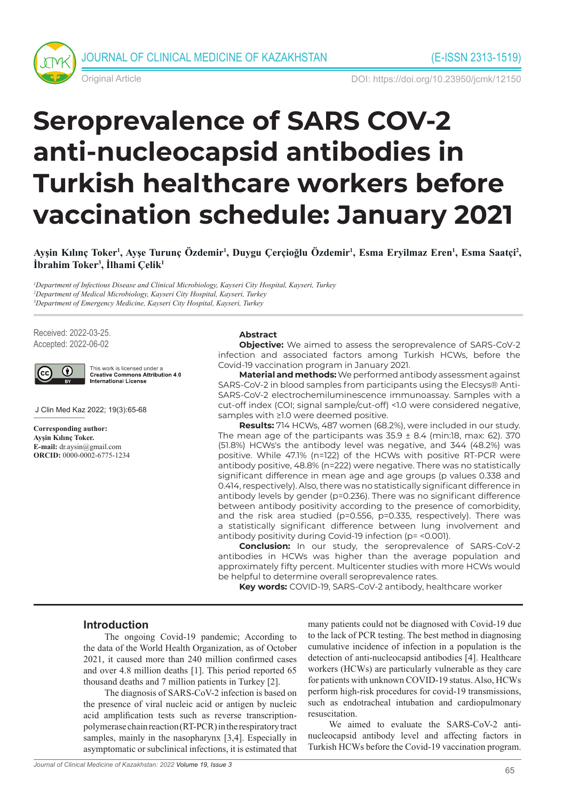

Original Article DOI: https://doi.org/10.23950/jcmk/12150

# **Seroprevalence of SARS COV-2 anti-nucleocapsid antibodies in Turkish healthcare workers before vaccination schedule: January 2021**

Ayşin Kılınç Toker<sup>ı</sup>, Ayşe Turunç Özdemir<sup>ı</sup>, Duygu Çerçioğlu Özdemir<sup>ı</sup>, Esma Eryilmaz Eren<sup>ı</sup>, Esma Saatçi<sup>2</sup>, **İbrahim Toker<sup>3</sup> , İlhami Çelik<sup>1</sup>**

*1 Department of Infectious Disease and Clinical Microbiology, Kayseri City Hospital, Kayseri, Turkey 2 Department of Medical Microbiology, Kayseri City Hospital, Kayseri, Turkey 3 Department of Emergency Medicine, Kayseri City Hospital, Kayseri, Turkey*

Received: 2022-03-25. Accepted: 2022-06-02



This work is licensed under a **Creative Commons Attribution 4.0 International License** 

J Clin Med Kaz 2022; 19(3):65-68

**Corresponding author: Ayşin Kılınç Toker. E-mail:** dr.aysin@gmail.com **ORCID:** 0000-0002-6775-1234

#### **Abstract**

**Objective:** We aimed to assess the seroprevalence of SARS-CoV-2 infection and associated factors among Turkish HCWs, before the Covid-19 vaccination program in January 2021.

**Material and methods:** We performed antibody assessment against SARS-CoV-2 in blood samples from participants using the Elecsys® Anti-SARS-CoV-2 electrochemiluminescence immunoassay. Samples with a cut-off index (COI; signal sample/cut-off) <1.0 were considered negative, samples with ≥1.0 were deemed positive.

**Results:** 714 HCWs, 487 women (68.2%), were included in our study. The mean age of the participants was  $35.9 \pm 8.4$  (min:18, max: 62). 370 (51.8%) HCWs's the antibody level was negative, and 344 (48.2%) was positive. While 47.1% (n=122) of the HCWs with positive RT-PCR were antibody positive, 48.8% (n=222) were negative. There was no statistically significant difference in mean age and age groups (p values 0.338 and 0.414, respectively). Also, there was no statistically significant difference in antibody levels by gender (p=0.236). There was no significant difference between antibody positivity according to the presence of comorbidity, and the risk area studied (p=0.556, p=0.335, respectively). There was a statistically significant difference between lung involvement and antibody positivity during Covid-19 infection (p= <0.001).

**Conclusion:** In our study, the seroprevalence of SARS-CoV-2 antibodies in HCWs was higher than the average population and approximately fifty percent. Multicenter studies with more HCWs would be helpful to determine overall seroprevalence rates.

**Key words:** COVID-19, SARS-CoV-2 antibody, healthcare worker

#### **Introduction**

The ongoing Covid-19 pandemic; According to the data of the World Health Organization, as of October 2021, it caused more than 240 million confirmed cases and over 4.8 million deaths [1]. This period reported 65 thousand deaths and 7 million patients in Turkey [2].

The diagnosis of SARS-CoV-2 infection is based on the presence of viral nucleic acid or antigen by nucleic acid amplification tests such as reverse transcriptionpolymerase chain reaction (RT-PCR) in the respiratory tract samples, mainly in the nasopharynx [3,4]. Especially in asymptomatic or subclinical infections, it is estimated that

*Journal of Clinical Medicine of Kazakhstan: 2022 Volume 19, Issue 3*

many patients could not be diagnosed with Covid-19 due to the lack of PCR testing. The best method in diagnosing cumulative incidence of infection in a population is the detection of anti-nucleocapsid antibodies [4]. Healthcare workers (HCWs) are particularly vulnerable as they care for patients with unknown COVID-19 status. Also, HCWs perform high-risk procedures for covid-19 transmissions, such as endotracheal intubation and cardiopulmonary resuscitation.

We aimed to evaluate the SARS-CoV-2 antinucleocapsid antibody level and affecting factors in Turkish HCWs before the Covid-19 vaccination program.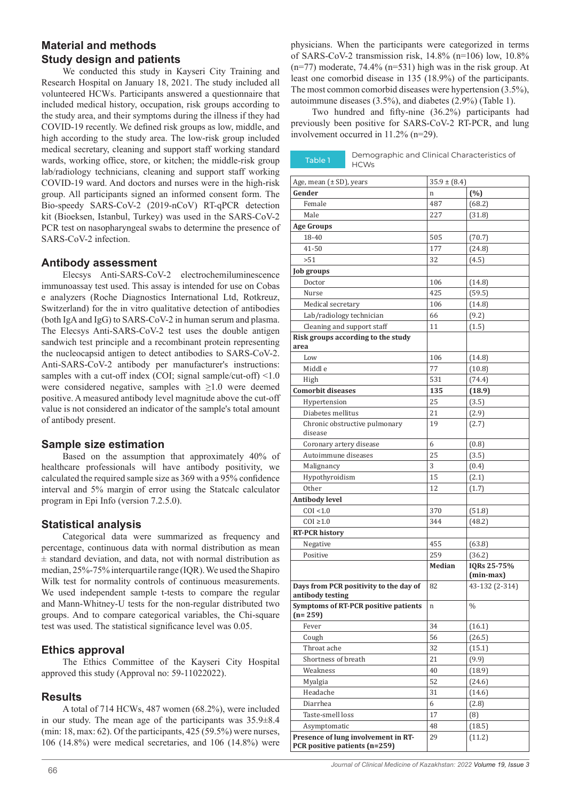## **Material and methods Study design and patients**

We conducted this study in Kayseri City Training and Research Hospital on January 18, 2021. The study included all volunteered HCWs. Participants answered a questionnaire that included medical history, occupation, risk groups according to the study area, and their symptoms during the illness if they had COVID-19 recently. We defined risk groups as low, middle, and high according to the study area. The low-risk group included medical secretary, cleaning and support staff working standard wards, working office, store, or kitchen; the middle-risk group lab/radiology technicians, cleaning and support staff working COVID-19 ward. And doctors and nurses were in the high-risk group. All participants signed an informed consent form. The Bio-speedy SARS-CoV-2 (2019-nCoV) RT-qPCR detection kit (Bioeksen, Istanbul, Turkey) was used in the SARS-CoV-2 PCR test on nasopharyngeal swabs to determine the presence of SARS-CoV-2 infection.

### **Antibody assessment**

Elecsys Anti-SARS-CoV-2 electrochemiluminescence immunoassay test used. This assay is intended for use on Cobas e analyzers (Roche Diagnostics International Ltd, Rotkreuz, Switzerland) for the in vitro qualitative detection of antibodies (both IgA and IgG) to SARS-CoV-2 in human serum and plasma. The Elecsys Anti-SARS-CoV-2 test uses the double antigen sandwich test principle and a recombinant protein representing the nucleocapsid antigen to detect antibodies to SARS-CoV-2. Anti-SARS-CoV-2 antibody per manufacturer's instructions: samples with a cut-off index (COI; signal sample/cut-off) <1.0 were considered negative, samples with  $\geq 1.0$  were deemed positive. A measured antibody level magnitude above the cut-off value is not considered an indicator of the sample's total amount of antibody present.

## **Sample size estimation**

Based on the assumption that approximately 40% of healthcare professionals will have antibody positivity, we calculated the required sample size as 369 with a 95% confidence interval and 5% margin of error using the Statcalc calculator program in Epi Info (version 7.2.5.0).

## **Statistical analysis**

Categorical data were summarized as frequency and percentage, continuous data with normal distribution as mean  $±$  standard deviation, and data, not with normal distribution as median, 25%-75% interquartile range (IQR). We used the Shapiro Wilk test for normality controls of continuous measurements. We used independent sample t-tests to compare the regular and Mann-Whitney-U tests for the non-regular distributed two groups. And to compare categorical variables, the Chi-square test was used. The statistical significance level was 0.05.

## **Ethics approval**

The Ethics Committee of the Kayseri City Hospital approved this study (Approval no: 59-11022022).

## **Results**

A total of 714 HCWs, 487 women (68.2%), were included in our study. The mean age of the participants was 35.9±8.4 (min: 18, max: 62). Of the participants, 425 (59.5%) were nurses, 106 (14.8%) were medical secretaries, and 106 (14.8%) were

physicians. When the participants were categorized in terms of SARS-CoV-2 transmission risk, 14.8% (n=106) low, 10.8% (n=77) moderate, 74.4% (n=531) high was in the risk group. At least one comorbid disease in 135 (18.9%) of the participants. The most common comorbid diseases were hypertension (3.5%), autoimmune diseases (3.5%), and diabetes (2.9%) (Table 1).

Two hundred and fifty-nine (36.2%) participants had previously been positive for SARS-CoV-2 RT-PCR, and lung involvement occurred in 11.2% (n=29).

| Demographic and Clinical Characteristics of<br>Table 1<br><b>HCWs</b> |                  |                          |  |
|-----------------------------------------------------------------------|------------------|--------------------------|--|
| Age, mean (± SD), years                                               | $35.9 \pm (8.4)$ |                          |  |
| Gender                                                                | n                | (%)                      |  |
| Female                                                                | 487              | (68.2)                   |  |
| Male                                                                  | 227              | (31.8)                   |  |
| <b>Age Groups</b>                                                     |                  |                          |  |
| 18-40                                                                 | 505              | (70.7)                   |  |
| 41-50                                                                 | 177              | (24.8)                   |  |
| >51                                                                   | 32               | (4.5)                    |  |
| Job groups                                                            |                  |                          |  |
| Doctor                                                                | 106              | (14.8)                   |  |
| Nurse                                                                 | 425              | (59.5)                   |  |
| Medical secretary                                                     | 106              | (14.8)                   |  |
| Lab/radiology technician                                              | 66               | (9.2)                    |  |
| Cleaning and support staff                                            | 11               | (1.5)                    |  |
| Risk groups according to the study<br>area                            |                  |                          |  |
| Low                                                                   | 106              | (14.8)                   |  |
| Middl e                                                               | 77               | (10.8)                   |  |
| High                                                                  | 531              | (74.4)                   |  |
| <b>Comorbit diseases</b>                                              | 135              | (18.9)                   |  |
| Hypertension                                                          | 25               | (3.5)                    |  |
| Diabetes mellitus                                                     | 21               | (2.9)                    |  |
| Chronic obstructive pulmonary<br>disease                              | 19               | (2.7)                    |  |
| Coronary artery disease                                               | 6                | (0.8)                    |  |
| Autoimmune diseases                                                   | 25               | (3.5)                    |  |
| Malignancy                                                            | 3                | (0.4)                    |  |
| Hypothyroidism                                                        | 15               | (2.1)                    |  |
| Other                                                                 | 12               | (1.7)                    |  |
| <b>Antibody level</b>                                                 |                  |                          |  |
| COI < 1.0                                                             | 370              | (51.8)                   |  |
| $COI \ge 1.0$                                                         | 344              | (48.2)                   |  |
| <b>RT-PCR history</b>                                                 |                  |                          |  |
| Negative                                                              | 455              | (63.8)                   |  |
| Positive                                                              | 259              | (36.2)                   |  |
|                                                                       | Median           | IORs 25-75%<br>(min-max) |  |
| Days from PCR positivity to the day of<br>antibody testing            | 82               | 43-132 (2-314)           |  |
| Symptoms of RT-PCR positive patients<br>$(n=259)$                     | n                | $\%$                     |  |
| Fever                                                                 | 34               | (16.1)                   |  |
| Cough                                                                 | 56               | (26.5)                   |  |
| Throat ache                                                           | 32               | (15.1)                   |  |
| Shortness of breath                                                   | 21               | (9.9)                    |  |
| Weakness                                                              | 40               | (18.9)                   |  |
| Myalgia                                                               | 52               | (24.6)                   |  |

 $(11.2)$ 

Headache  $\begin{array}{|c|c|c|c|c|c|}\n\hline\n31 & 14.6\n\end{array}$ Diarrhea  $\begin{vmatrix} 6 \end{vmatrix}$  (2.8) Taste-smell loss  $\vert$  17  $\vert$  (8) Asymptomatic 48 (18.5)<br> **Exerce of lung involvement in RT-** 29 (11.2)

**Presence of lung involvement in RT-PCR positive patients (n=259)**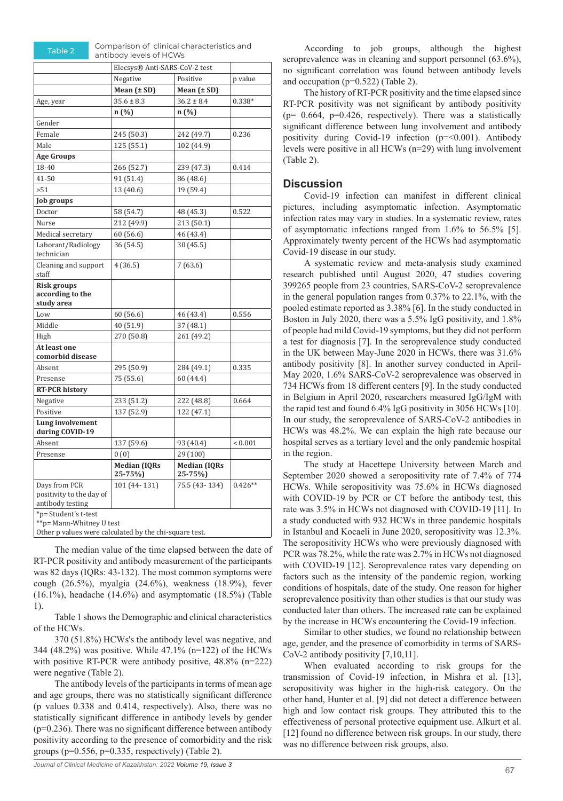| Comparison of clinical characteristics and<br>Table 2<br>antibody levels of HCWs                           |                                |                                |             |  |
|------------------------------------------------------------------------------------------------------------|--------------------------------|--------------------------------|-------------|--|
|                                                                                                            | Elecsys® Anti-SARS-CoV-2 test  |                                |             |  |
|                                                                                                            | Negative                       | Positive                       | p value     |  |
|                                                                                                            | Mean $(± SD)$                  | Mean $(\pm SD)$                |             |  |
| Age, year                                                                                                  | $35.6 \pm 8.3$                 | $36.2 \pm 8.4$                 | $0.338*$    |  |
|                                                                                                            | n(%)                           | n (%)                          |             |  |
| Gender                                                                                                     |                                |                                |             |  |
| Female                                                                                                     | 245 (50.3)                     | 242 (49.7)                     | 0.236       |  |
| Male                                                                                                       | 125 (55.1)                     | 102 (44.9)                     |             |  |
| <b>Age Groups</b>                                                                                          |                                |                                |             |  |
| 18-40                                                                                                      | 266 (52.7)                     | 239 (47.3)                     | 0.414       |  |
| 41-50                                                                                                      | 91 (51.4)                      | 86 (48.6)                      |             |  |
| > 51                                                                                                       | 13 (40.6)                      | 19 (59.4)                      |             |  |
| Job groups                                                                                                 |                                |                                |             |  |
| Doctor                                                                                                     | 58 (54.7)                      | 48 (45.3)                      | 0.522       |  |
| Nurse                                                                                                      | 212 (49.9)                     | 213 (50.1)                     |             |  |
| Medical secretary                                                                                          | 60 (56.6)                      | 46 (43.4)                      |             |  |
| Laborant/Radiology                                                                                         | 36 (54.5)                      | 30 (45.5)                      |             |  |
| technician                                                                                                 |                                |                                |             |  |
| Cleaning and support<br>staff                                                                              | 4(36.5)                        | 7 (63.6)                       |             |  |
| <b>Risk groups</b>                                                                                         |                                |                                |             |  |
| according to the                                                                                           |                                |                                |             |  |
| study area<br>Low                                                                                          | 60 (56.6)                      | 46 (43.4)                      | 0.556       |  |
| Middle                                                                                                     | 40 (51.9)                      | 37 (48.1)                      |             |  |
| High                                                                                                       | 270 (50.8)                     | 261 (49.2)                     |             |  |
| At least one                                                                                               |                                |                                |             |  |
| comorbid disease                                                                                           |                                |                                |             |  |
| Absent                                                                                                     | 295 (50.9)                     | 284 (49.1)                     | 0.335       |  |
| Presense                                                                                                   | 75 (55.6)                      | 60 (44.4)                      |             |  |
| <b>RT-PCR history</b>                                                                                      |                                |                                |             |  |
| Negative                                                                                                   | 233 (51.2)                     | 222 (48.8)                     | 0.664       |  |
| Positive                                                                                                   | 137 (52.9)                     | 122 (47.1)                     |             |  |
| Lung involvement<br>during COVID-19                                                                        |                                |                                |             |  |
| Absent                                                                                                     | 137 (59.6)                     | 93 (40.4)                      | ${}< 0.001$ |  |
| Presense                                                                                                   | 0(0)                           | 29 (100)                       |             |  |
|                                                                                                            | <b>Median (IQRs</b><br>25-75%) | <b>Median (IQRs</b><br>25-75%) |             |  |
| Days from PCR<br>positivity to the day of<br>antibody testing                                              | 101 (44-131)                   | 75.5 (43-134)                  | $0.426**$   |  |
| *p= Student's t-test<br>**p= Mann-Whitney U test<br>Other p values were calculated by the chi-square test. |                                |                                |             |  |

The median value of the time elapsed between the date of RT-PCR positivity and antibody measurement of the participants was 82 days (IQRs: 43-132). The most common symptoms were cough (26.5%), myalgia (24.6%), weakness (18.9%), fever (16.1%), headache (14.6%) and asymptomatic (18.5%) (Table 1).

Table 1 shows the Demographic and clinical characteristics of the HCWs.

370 (51.8%) HCWs's the antibody level was negative, and 344 (48.2%) was positive. While 47.1% (n=122) of the HCWs with positive RT-PCR were antibody positive, 48.8% (n=222) were negative (Table 2).

The antibody levels of the participants in terms of mean age and age groups, there was no statistically significant difference (p values 0.338 and 0.414, respectively). Also, there was no statistically significant difference in antibody levels by gender  $(p=0.236)$ . There was no significant difference between antibody positivity according to the presence of comorbidity and the risk groups ( $p=0.556$ ,  $p=0.335$ , respectively) (Table 2).

According to job groups, although the highest seroprevalence was in cleaning and support personnel (63.6%), no significant correlation was found between antibody levels and occupation (p=0.522) (Table 2).

The history of RT-PCR positivity and the time elapsed since RT-PCR positivity was not significant by antibody positivity  $(p= 0.664, p=0.426,$  respectively). There was a statistically significant difference between lung involvement and antibody positivity during Covid-19 infection  $(p=<0.001)$ . Antibody levels were positive in all HCWs (n=29) with lung involvement (Table 2).

#### **Discussion**

Covid-19 infection can manifest in different clinical pictures, including asymptomatic infection. Asymptomatic infection rates may vary in studies. In a systematic review, rates of asymptomatic infections ranged from 1.6% to 56.5% [5]. Approximately twenty percent of the HCWs had asymptomatic Covid-19 disease in our study.

A systematic review and meta-analysis study examined research published until August 2020, 47 studies covering 399265 people from 23 countries, SARS-CoV-2 seroprevalence in the general population ranges from 0.37% to 22.1%, with the pooled estimate reported as 3.38% [6]. In the study conducted in Boston in July 2020, there was a 5.5% IgG positivity, and 1.8% of people had mild Covid-19 symptoms, but they did not perform a test for diagnosis [7]. In the seroprevalence study conducted in the UK between May-June 2020 in HCWs, there was 31.6% antibody positivity [8]. In another survey conducted in April-May 2020, 1.6% SARS-CoV-2 seroprevalence was observed in 734 HCWs from 18 different centers [9]. In the study conducted in Belgium in April 2020, researchers measured IgG/IgM with the rapid test and found 6.4% IgG positivity in 3056 HCWs [10]. In our study, the seroprevalence of SARS-CoV-2 antibodies in HCWs was 48.2%. We can explain the high rate because our hospital serves as a tertiary level and the only pandemic hospital in the region.

The study at Hacettepe University between March and September 2020 showed a seropositivity rate of 7.4% of 774 HCWs. While seropositivity was 75.6% in HCWs diagnosed with COVID-19 by PCR or CT before the antibody test, this rate was 3.5% in HCWs not diagnosed with COVID-19 [11]. In a study conducted with 932 HCWs in three pandemic hospitals in Istanbul and Kocaeli in June 2020, seropositivity was 12.3%. The seropositivity HCWs who were previously diagnosed with PCR was 78.2%, while the rate was 2.7% in HCWs not diagnosed with COVID-19 [12]. Seroprevalence rates vary depending on factors such as the intensity of the pandemic region, working conditions of hospitals, date of the study. One reason for higher seroprevalence positivity than other studies is that our study was conducted later than others. The increased rate can be explained by the increase in HCWs encountering the Covid-19 infection.

Similar to other studies, we found no relationship between age, gender, and the presence of comorbidity in terms of SARS-CoV-2 antibody positivity [7,10,11].

When evaluated according to risk groups for the transmission of Covid-19 infection, in Mishra et al. [13], seropositivity was higher in the high-risk category. On the other hand, Hunter et al. [9] did not detect a difference between high and low contact risk groups. They attributed this to the effectiveness of personal protective equipment use. Alkurt et al. [12] found no difference between risk groups. In our study, there was no difference between risk groups, also.